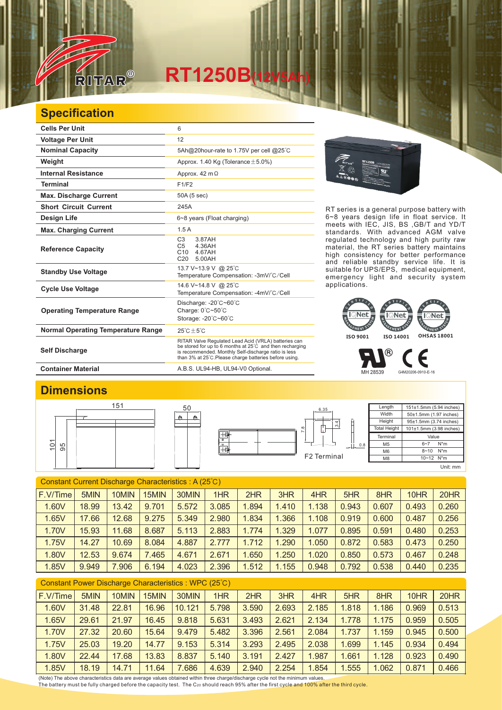

## **RT1250B(12V5Ah)**

## **Specification**

| <b>Cells Per Unit</b>                     | 6                                                                                                                                                                                                                                  |  |  |  |  |  |
|-------------------------------------------|------------------------------------------------------------------------------------------------------------------------------------------------------------------------------------------------------------------------------------|--|--|--|--|--|
| <b>Voltage Per Unit</b>                   | 12                                                                                                                                                                                                                                 |  |  |  |  |  |
| <b>Nominal Capacity</b>                   | 5Ah@20hour-rate to 1.75V per cell @25°C                                                                                                                                                                                            |  |  |  |  |  |
| Weight                                    | Approx. 1.40 Kg (Tolerance $\pm$ 5.0%)                                                                                                                                                                                             |  |  |  |  |  |
| <b>Internal Resistance</b>                | Approx. $42 \text{ m}\Omega$                                                                                                                                                                                                       |  |  |  |  |  |
| <b>Terminal</b>                           | F1/F2                                                                                                                                                                                                                              |  |  |  |  |  |
| <b>Max. Discharge Current</b>             | 50A (5 sec)                                                                                                                                                                                                                        |  |  |  |  |  |
| <b>Short Circuit Current</b>              | 245A                                                                                                                                                                                                                               |  |  |  |  |  |
| <b>Design Life</b>                        | 6~8 years (Float charging)                                                                                                                                                                                                         |  |  |  |  |  |
| <b>Max. Charging Current</b>              | 1.5A                                                                                                                                                                                                                               |  |  |  |  |  |
| <b>Reference Capacity</b>                 | C <sub>3</sub><br>3.87AH<br>C <sub>5</sub><br>4.36AH<br>C10<br>4.67AH<br>5.00AH<br>C <sub>20</sub>                                                                                                                                 |  |  |  |  |  |
| <b>Standby Use Voltage</b>                | 13.7 V~13.9 V @ 25°C<br>Temperature Compensation: -3mV/°C/Cell                                                                                                                                                                     |  |  |  |  |  |
| <b>Cycle Use Voltage</b>                  | 14.6 V~14.8 V @ 25°C<br>Temperature Compensation: -4mV/°C/Cell                                                                                                                                                                     |  |  |  |  |  |
| <b>Operating Temperature Range</b>        | Discharge: $-20^{\circ}$ C $-60^{\circ}$ C<br>Charge: 0°C~50°C<br>Storage: -20°C~60°C                                                                                                                                              |  |  |  |  |  |
| <b>Normal Operating Temperature Range</b> | $25^{\circ}$ C + 5 $^{\circ}$ C                                                                                                                                                                                                    |  |  |  |  |  |
| <b>Self Discharge</b>                     | RITAR Valve Regulated Lead Acid (VRLA) batteries can<br>be stored for up to 6 months at 25°C and then recharging<br>is recommended. Monthly Self-discharge ratio is less<br>than 3% at 25°C. Please charge batteries before using. |  |  |  |  |  |
| <b>Container Material</b>                 | A.B.S. UL94-HB, UL94-V0 Optional.                                                                                                                                                                                                  |  |  |  |  |  |

50



RT series is a general purpose battery with 6~8 years design life in float service. It meets with IEC, JIS, BS ,GB/T and YD/T standards. With advanced AGM valve regulated technology and high purity raw material, the RT series battery maintains high consistency for better performance and reliable standby service life. It is suitable for UPS/EPS, medical equipment, emergency light and security system applications.



® F

MH 28539 G4M20206-0910-E-16

**Length Width** Height Total Height

**Terminal**  $\overline{M5}$ M6 M<sub>8</sub>

## **Dimensions**





10~12 N\*m Unit: mm

151±1.5mm (5.94 inches) 50±1.5mm (1.97 inches) 95±1.5mm (3.74 inches) 101±1.5mm (3.98 inches)

> Value  $6 - 7$  N<sup>\*</sup>m 8~10 N\*m

| F.V/Time<br>1HR<br>5MIN<br>30MIN<br>3HR<br>10MIN<br>15MIN<br>2HR<br>4HR<br>8HR<br>20HR<br>5HR<br>10HR<br>0.260<br>1.60V<br>18.99<br>5.572<br>3.085<br>.894<br>1.410<br>1.138<br>13.42<br>9.701<br>0.943<br>0.607<br>0.493<br>1.366<br>9.275<br>5.349<br>2.980<br>.834<br>0.256<br>1.65V<br>17.66<br>12.68<br>1.108<br>0.919<br>0.600<br>0.487<br>2.883<br>0.253<br>1.70V<br>8.687<br>5.113<br>1.774<br>1.329<br>15.93<br>11.68<br>1.077<br>0.895<br>0.591<br>0.480<br>10.69 | Constant Current Discharge Characteristics: A (25°C) |       |  |  |       |       |       |       |       |       |       |       |       |       |
|-----------------------------------------------------------------------------------------------------------------------------------------------------------------------------------------------------------------------------------------------------------------------------------------------------------------------------------------------------------------------------------------------------------------------------------------------------------------------------|------------------------------------------------------|-------|--|--|-------|-------|-------|-------|-------|-------|-------|-------|-------|-------|
|                                                                                                                                                                                                                                                                                                                                                                                                                                                                             |                                                      |       |  |  |       |       |       |       |       |       |       |       |       |       |
|                                                                                                                                                                                                                                                                                                                                                                                                                                                                             |                                                      |       |  |  |       |       |       |       |       |       |       |       |       |       |
|                                                                                                                                                                                                                                                                                                                                                                                                                                                                             |                                                      |       |  |  |       |       |       |       |       |       |       |       |       |       |
|                                                                                                                                                                                                                                                                                                                                                                                                                                                                             |                                                      |       |  |  |       |       |       |       |       |       |       |       |       |       |
|                                                                                                                                                                                                                                                                                                                                                                                                                                                                             | 1.75V                                                | 14.27 |  |  | 8.084 | 4.887 | 2.777 | 1.712 | 1.290 | 1.050 | 0.872 | 0.583 | 0.473 | 0.250 |
| 9.674<br>7.465<br>4.671<br>2.671<br>0.248<br>1.80V<br>12.53<br>.650<br>1.250<br>0.573<br>0.467<br>1.020<br>0.850                                                                                                                                                                                                                                                                                                                                                            |                                                      |       |  |  |       |       |       |       |       |       |       |       |       |       |
| 4.023<br>2.396<br>1.512<br>1.155<br>7.906<br>0.792<br>0.235<br>1.85V<br>9.949<br>6.194<br>0.948<br>0.538<br>0.440                                                                                                                                                                                                                                                                                                                                                           |                                                      |       |  |  |       |       |       |       |       |       |       |       |       |       |

| Constant Power Discharge Characteristics : WPC (25°C) |       |       |       |        |       |       |       |       |       |       |       |       |
|-------------------------------------------------------|-------|-------|-------|--------|-------|-------|-------|-------|-------|-------|-------|-------|
| F.V/Time                                              | 5MIN  | 10MIN | 15MIN | 30MIN  | 1HR   | 2HR   | 3HR   | 4HR   | 5HR   | 8HR   | 10HR  | 20HR  |
| 1.60V                                                 | 31.48 | 22.81 | 16.96 | 10.121 | 5.798 | 3.590 | 2.693 | 2.185 | 1.818 | 1.186 | 0.969 | 0.513 |
| 1.65V                                                 | 29.61 | 21.97 | 16.45 | 9.818  | 5.631 | 3.493 | 2.621 | 2.134 | 1.778 | 1.175 | 0.959 | 0.505 |
| 1.70V                                                 | 27.32 | 20.60 | 15.64 | 9.479  | 5.482 | 3.396 | 2.561 | 2.084 | 1.737 | 1.159 | 0.945 | 0.500 |
| 1.75V                                                 | 25.03 | 19.20 | 14.77 | 9.153  | 5.314 | 3.293 | 2.495 | 2.038 | 1.699 | 1.145 | 0.934 | 0.494 |
| 1.80V                                                 | 22.44 | 17.68 | 13.83 | 8.837  | 5.140 | 3.191 | 2.427 | 1.987 | 1.661 | 1.128 | 0.923 | 0.490 |
| 1.85V                                                 | 18.19 | 14.71 | 11.64 | 7.686  | 4.639 | 2.940 | 2.254 | 1.854 | 1.555 | 1.062 | 0.871 | 0.466 |

(Note) The above characteristics data are average values obtained within three charge/discharge cycle not the minimum values.<br><u>T</u>he battery must be fully charged before the capacity test. The C20 should reach 95% after th